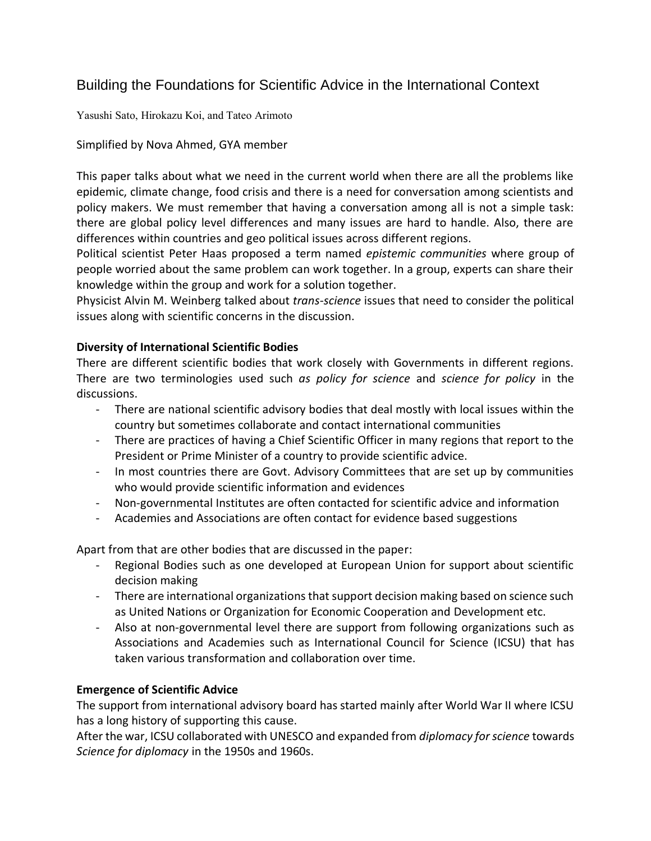# Building the Foundations for Scientific Advice in the International Context

Yasushi Sato, Hirokazu Koi, and Tateo Arimoto

# Simplified by Nova Ahmed, GYA member

This paper talks about what we need in the current world when there are all the problems like epidemic, climate change, food crisis and there is a need for conversation among scientists and policy makers. We must remember that having a conversation among all is not a simple task: there are global policy level differences and many issues are hard to handle. Also, there are differences within countries and geo political issues across different regions.

Political scientist Peter Haas proposed a term named *epistemic communities* where group of people worried about the same problem can work together. In a group, experts can share their knowledge within the group and work for a solution together.

Physicist Alvin M. Weinberg talked about *trans-science* issues that need to consider the political issues along with scientific concerns in the discussion.

### **Diversity of International Scientific Bodies**

There are different scientific bodies that work closely with Governments in different regions. There are two terminologies used such *as policy for science* and *science for policy* in the discussions.

- There are national scientific advisory bodies that deal mostly with local issues within the country but sometimes collaborate and contact international communities
- There are practices of having a Chief Scientific Officer in many regions that report to the President or Prime Minister of a country to provide scientific advice.
- In most countries there are Govt. Advisory Committees that are set up by communities who would provide scientific information and evidences
- Non-governmental Institutes are often contacted for scientific advice and information
- Academies and Associations are often contact for evidence based suggestions

Apart from that are other bodies that are discussed in the paper:

- Regional Bodies such as one developed at European Union for support about scientific decision making
- There are international organizations that support decision making based on science such as United Nations or Organization for Economic Cooperation and Development etc.
- Also at non-governmental level there are support from following organizations such as Associations and Academies such as International Council for Science (ICSU) that has taken various transformation and collaboration over time.

# **Emergence of Scientific Advice**

The support from international advisory board has started mainly after World War II where ICSU has a long history of supporting this cause.

After the war, ICSU collaborated with UNESCO and expanded from *diplomacy for science* towards *Science for diplomacy* in the 1950s and 1960s.